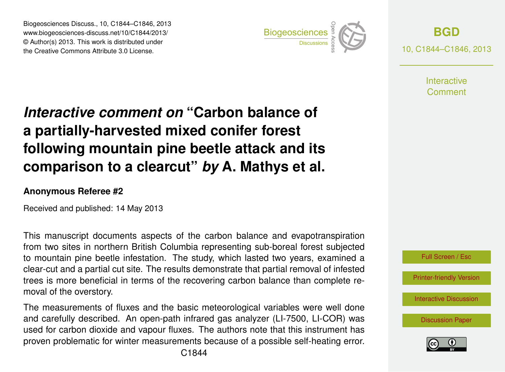Biogeosciences Discuss., 10, C1844–C1846, 2013 www.biogeosciences-discuss.net/10/C1844/2013/ www.biogeosciences-ulscuss.net/10/01044/2013/<br>© Author(s) 2013. This work is distributed under the Creative Commons Attribute 3.0 License.



**[BGD](http://www.biogeosciences-discuss.net)** 10, C1844–C1846, 2013

> **Interactive** Comment

## Earth System a partially-harvested mixed conifer forest  $\overline{\phantom{a}}$ Interactive comment on "Carbon balance of following mountain pine beetle attack and its George Contract a vicarut  $\mathbf{r}$  $\sim$  ot of comparison to a clearcut" *by* A. Mathys et al.

## **Anonymous Referee #2**

Received and published: 14 May 2013

This manuscript documents aspects of the carbon balance and evapotranspiration  $\overline{\mathsf{f}}$ .<br>S to mountain pine beetle infestation. The study, which lasted two years, examined a clear-cut and a partial cut site. The results demonstrate that partial removal of infested trees is more beneficial in terms of the recovering carbon balance than complete reeا<br>It:<br>۲ ir<br>ip from two sites in northern British Columbia representing sub-boreal forest subjected moval of the overstory.

and carefully described. An open-path infrared gas analyzer (LI-7500, LI-COR) was a<br>P ve<br>O<br>n The measurements of fluxes and the basic meteorological variables were well done used for carbon dioxide and vapour fluxes. The authors note that this instrument has proven problematic for winter measurements because of a possible self-heating error.



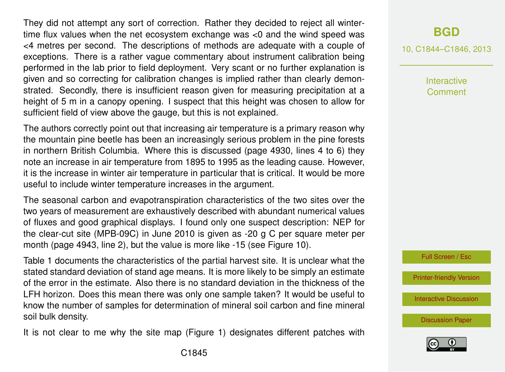They did not attempt any sort of correction. Rather they decided to reject all wintertime flux values when the net ecosystem exchange was <0 and the wind speed was <4 metres per second. The descriptions of methods are adequate with a couple of exceptions. There is a rather vague commentary about instrument calibration being performed in the lab prior to field deployment. Very scant or no further explanation is given and so correcting for calibration changes is implied rather than clearly demonstrated. Secondly, there is insufficient reason given for measuring precipitation at a height of 5 m in a canopy opening. I suspect that this height was chosen to allow for sufficient field of view above the gauge, but this is not explained.

The authors correctly point out that increasing air temperature is a primary reason why the mountain pine beetle has been an increasingly serious problem in the pine forests in northern British Columbia. Where this is discussed (page 4930, lines 4 to 6) they note an increase in air temperature from 1895 to 1995 as the leading cause. However, it is the increase in winter air temperature in particular that is critical. It would be more useful to include winter temperature increases in the argument.

The seasonal carbon and evapotranspiration characteristics of the two sites over the two years of measurement are exhaustively described with abundant numerical values of fluxes and good graphical displays. I found only one suspect description: NEP for the clear-cut site (MPB-09C) in June 2010 is given as -20 g C per square meter per month (page 4943, line 2), but the value is more like -15 (see Figure 10).

Table 1 documents the characteristics of the partial harvest site. It is unclear what the stated standard deviation of stand age means. It is more likely to be simply an estimate of the error in the estimate. Also there is no standard deviation in the thickness of the LFH horizon. Does this mean there was only one sample taken? It would be useful to know the number of samples for determination of mineral soil carbon and fine mineral soil bulk density.

It is not clear to me why the site map (Figure 1) designates different patches with

## **[BGD](http://www.biogeosciences-discuss.net)**

10, C1844–C1846, 2013

Interactive **Comment** 

Full Screen / Esc

[Printer-friendly Version](http://www.biogeosciences-discuss.net/10/C1844/2013/bgd-10-C1844-2013-print.pdf)

[Interactive Discussion](http://www.biogeosciences-discuss.net/10/4927/2013/bgd-10-4927-2013-discussion.html)

[Discussion Paper](http://www.biogeosciences-discuss.net/10/4927/2013/bgd-10-4927-2013.pdf)